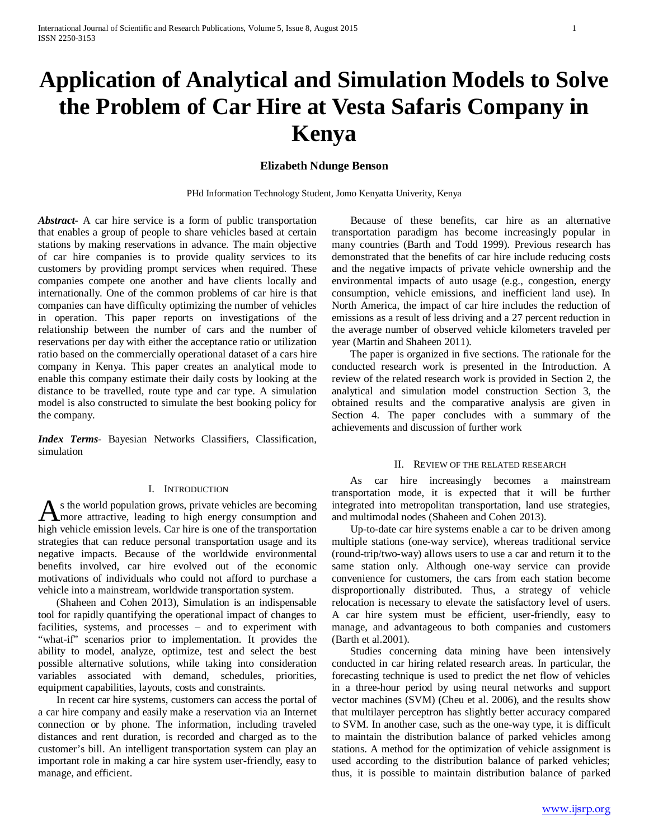# **Application of Analytical and Simulation Models to Solve the Problem of Car Hire at Vesta Safaris Company in Kenya**

## **Elizabeth Ndunge Benson**

PHd Information Technology Student, Jomo Kenyatta Univerity, Kenya

*Abstract***-** A car hire service is a form of public transportation that enables a group of people to share vehicles based at certain stations by making reservations in advance. The main objective of car hire companies is to provide quality services to its customers by providing prompt services when required. These companies compete one another and have clients locally and internationally. One of the common problems of car hire is that companies can have difficulty optimizing the number of vehicles in operation. This paper reports on investigations of the relationship between the number of cars and the number of reservations per day with either the acceptance ratio or utilization ratio based on the commercially operational dataset of a cars hire company in Kenya. This paper creates an analytical mode to enable this company estimate their daily costs by looking at the distance to be travelled, route type and car type. A simulation model is also constructed to simulate the best booking policy for the company.

*Index Terms*- Bayesian Networks Classifiers, Classification, simulation

#### I. INTRODUCTION

s the world population grows, private vehicles are becoming As the world population grows, private vehicles are becoming<br>more attractive, leading to high energy consumption and high vehicle emission levels. Car hire is one of the transportation strategies that can reduce personal transportation usage and its negative impacts. Because of the worldwide environmental benefits involved, car hire evolved out of the economic motivations of individuals who could not afford to purchase a vehicle into a mainstream, worldwide transportation system.

 (Shaheen and Cohen 2013), Simulation is an indispensable tool for rapidly quantifying the operational impact of changes to facilities, systems, and processes – and to experiment with "what-if" scenarios prior to implementation. It provides the ability to model, analyze, optimize, test and select the best possible alternative solutions, while taking into consideration variables associated with demand, schedules, priorities, equipment capabilities, layouts, costs and constraints.

 In recent car hire systems, customers can access the portal of a car hire company and easily make a reservation via an Internet connection or by phone. The information, including traveled distances and rent duration, is recorded and charged as to the customer's bill. An intelligent transportation system can play an important role in making a car hire system user-friendly, easy to manage, and efficient.

 Because of these benefits, car hire as an alternative transportation paradigm has become increasingly popular in many countries (Barth and Todd 1999). Previous research has demonstrated that the benefits of car hire include reducing costs and the negative impacts of private vehicle ownership and the environmental impacts of auto usage (e.g., congestion, energy consumption, vehicle emissions, and inefficient land use). In North America, the impact of car hire includes the reduction of emissions as a result of less driving and a 27 percent reduction in the average number of observed vehicle kilometers traveled per year (Martin and Shaheen 2011).

 The paper is organized in five sections. The rationale for the conducted research work is presented in the Introduction. A review of the related research work is provided in Section 2, the analytical and simulation model construction Section 3, the obtained results and the comparative analysis are given in Section 4. The paper concludes with a summary of the achievements and discussion of further work

#### II. REVIEW OF THE RELATED RESEARCH

 As car hire increasingly becomes a mainstream transportation mode, it is expected that it will be further integrated into metropolitan transportation, land use strategies, and multimodal nodes (Shaheen and Cohen 2013).

 Up-to-date car hire systems enable a car to be driven among multiple stations (one-way service), whereas traditional service (round-trip/two-way) allows users to use a car and return it to the same station only. Although one-way service can provide convenience for customers, the cars from each station become disproportionally distributed. Thus, a strategy of vehicle relocation is necessary to elevate the satisfactory level of users. A car hire system must be efficient, user-friendly, easy to manage, and advantageous to both companies and customers (Barth et al.2001).

 Studies concerning data mining have been intensively conducted in car hiring related research areas. In particular, the forecasting technique is used to predict the net flow of vehicles in a three-hour period by using neural networks and support vector machines (SVM) (Cheu et al. 2006), and the results show that multilayer perceptron has slightly better accuracy compared to SVM. In another case, such as the one-way type, it is difficult to maintain the distribution balance of parked vehicles among stations. A method for the optimization of vehicle assignment is used according to the distribution balance of parked vehicles; thus, it is possible to maintain distribution balance of parked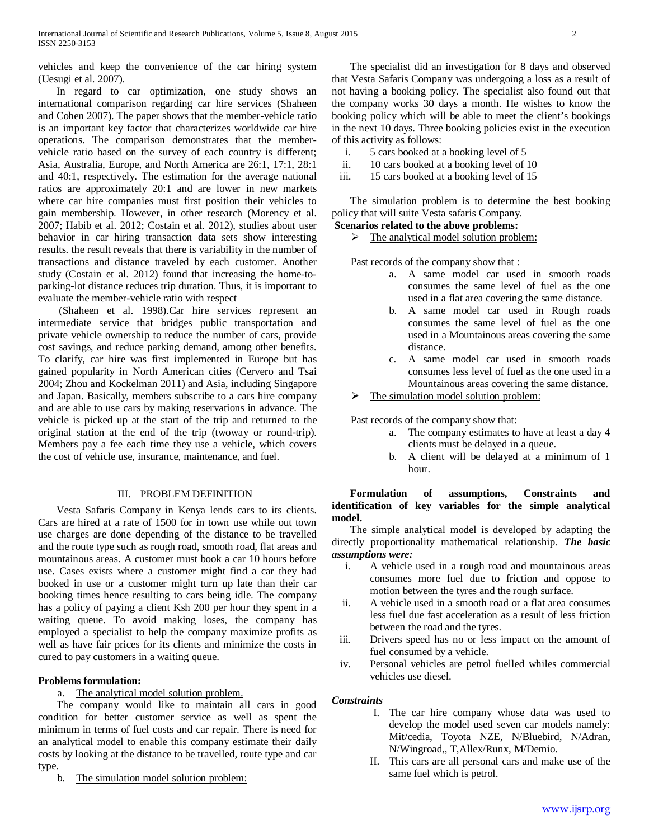vehicles and keep the convenience of the car hiring system (Uesugi et al. 2007).

 In regard to car optimization, one study shows an international comparison regarding car hire services (Shaheen and Cohen 2007). The paper shows that the member-vehicle ratio is an important key factor that characterizes worldwide car hire operations. The comparison demonstrates that the membervehicle ratio based on the survey of each country is different; Asia, Australia, Europe, and North America are 26:1, 17:1, 28:1 and 40:1, respectively. The estimation for the average national ratios are approximately 20:1 and are lower in new markets where car hire companies must first position their vehicles to gain membership. However, in other research (Morency et al. 2007; Habib et al. 2012; Costain et al. 2012), studies about user behavior in car hiring transaction data sets show interesting results. the result reveals that there is variability in the number of transactions and distance traveled by each customer. Another study (Costain et al. 2012) found that increasing the home-toparking-lot distance reduces trip duration. Thus, it is important to evaluate the member-vehicle ratio with respect

 (Shaheen et al. 1998).Car hire services represent an intermediate service that bridges public transportation and private vehicle ownership to reduce the number of cars, provide cost savings, and reduce parking demand, among other benefits. To clarify, car hire was first implemented in Europe but has gained popularity in North American cities (Cervero and Tsai 2004; Zhou and Kockelman 2011) and Asia, including Singapore and Japan. Basically, members subscribe to a cars hire company and are able to use cars by making reservations in advance. The vehicle is picked up at the start of the trip and returned to the original station at the end of the trip (twoway or round-trip). Members pay a fee each time they use a vehicle, which covers the cost of vehicle use, insurance, maintenance, and fuel.

## III. PROBLEM DEFINITION

 Vesta Safaris Company in Kenya lends cars to its clients. Cars are hired at a rate of 1500 for in town use while out town use charges are done depending of the distance to be travelled and the route type such as rough road, smooth road, flat areas and mountainous areas. A customer must book a car 10 hours before use. Cases exists where a customer might find a car they had booked in use or a customer might turn up late than their car booking times hence resulting to cars being idle. The company has a policy of paying a client Ksh 200 per hour they spent in a waiting queue. To avoid making loses, the company has employed a specialist to help the company maximize profits as well as have fair prices for its clients and minimize the costs in cured to pay customers in a waiting queue.

## **Problems formulation:**

## a. The analytical model solution problem.

 The company would like to maintain all cars in good condition for better customer service as well as spent the minimum in terms of fuel costs and car repair. There is need for an analytical model to enable this company estimate their daily costs by looking at the distance to be travelled, route type and car type.

b. The simulation model solution problem:

 The specialist did an investigation for 8 days and observed that Vesta Safaris Company was undergoing a loss as a result of not having a booking policy. The specialist also found out that the company works 30 days a month. He wishes to know the booking policy which will be able to meet the client's bookings in the next 10 days. Three booking policies exist in the execution of this activity as follows:

- i. 5 cars booked at a booking level of 5
- ii. 10 cars booked at a booking level of 10
- iii. 15 cars booked at a booking level of 15

 The simulation problem is to determine the best booking policy that will suite Vesta safaris Company.

# **Scenarios related to the above problems:**

 $\triangleright$  The analytical model solution problem:

Past records of the company show that :

- a. A same model car used in smooth roads consumes the same level of fuel as the one used in a flat area covering the same distance.
- b. A same model car used in Rough roads consumes the same level of fuel as the one used in a Mountainous areas covering the same distance.
- c. A same model car used in smooth roads consumes less level of fuel as the one used in a Mountainous areas covering the same distance.
- The simulation model solution problem:

Past records of the company show that:

- a. The company estimates to have at least a day 4 clients must be delayed in a queue.
- b. A client will be delayed at a minimum of 1 hour.

## **Formulation of assumptions, Constraints and identification of key variables for the simple analytical model.**

 The simple analytical model is developed by adapting the directly proportionality mathematical relationship. *The basic assumptions were:*

- i. A vehicle used in a rough road and mountainous areas consumes more fuel due to friction and oppose to motion between the tyres and the rough surface.
- ii. A vehicle used in a smooth road or a flat area consumes less fuel due fast acceleration as a result of less friction between the road and the tyres.
- iii. Drivers speed has no or less impact on the amount of fuel consumed by a vehicle.
- iv. Personal vehicles are petrol fuelled whiles commercial vehicles use diesel.

## *Constraints*

- I. The car hire company whose data was used to develop the model used seven car models namely: Mit/cedia, Toyota NZE, N/Bluebird, N/Adran, N/Wingroad,, T,Allex/Runx, M/Demio.
- II. This cars are all personal cars and make use of the same fuel which is petrol.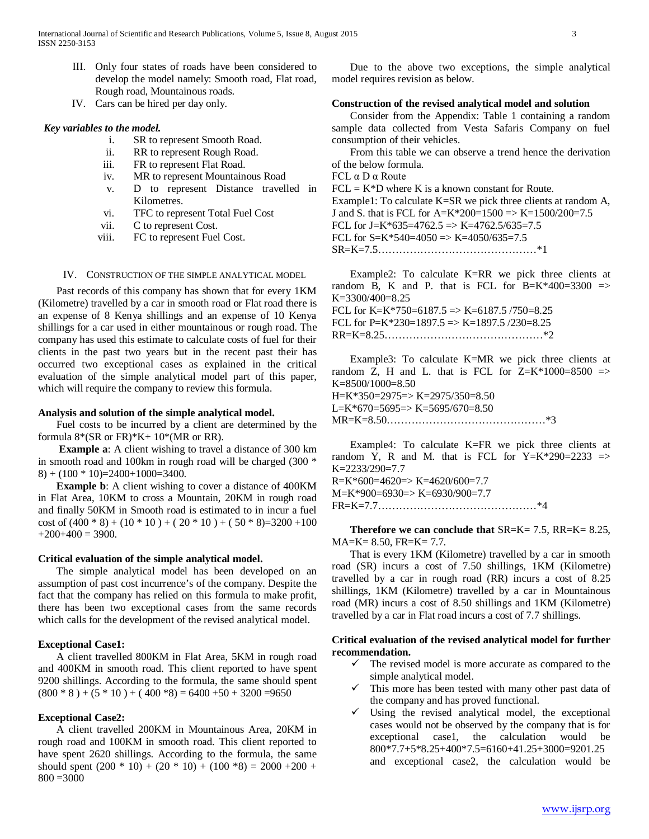- III. Only four states of roads have been considered to develop the model namely: Smooth road, Flat road, Rough road, Mountainous roads.
- IV. Cars can be hired per day only.

### *Key variables to the model.*

- i. SR to represent Smooth Road.
- ii. RR to represent Rough Road.
- iii. FR to represent Flat Road.
- iv. MR to represent Mountainous Road
- v. D to represent Distance travelled in Kilometres.
- vi. TFC to represent Total Fuel Cost
- vii. C to represent Cost.
- viii. FC to represent Fuel Cost.

#### IV. CONSTRUCTION OF THE SIMPLE ANALYTICAL MODEL

 Past records of this company has shown that for every 1KM (Kilometre) travelled by a car in smooth road or Flat road there is an expense of 8 Kenya shillings and an expense of 10 Kenya shillings for a car used in either mountainous or rough road. The company has used this estimate to calculate costs of fuel for their clients in the past two years but in the recent past their has occurred two exceptional cases as explained in the critical evaluation of the simple analytical model part of this paper, which will require the company to review this formula.

#### **Analysis and solution of the simple analytical model.**

 Fuel costs to be incurred by a client are determined by the formula  $8*(SR \text{ or } FR)*K+10*(MR \text{ or } RR)$ .

 **Example a**: A client wishing to travel a distance of 300 km in smooth road and 100km in rough road will be charged (300 \*  $8) + (100 * 10) = 2400 + 1000 = 3400.$ 

 **Example b**: A client wishing to cover a distance of 400KM in Flat Area, 10KM to cross a Mountain, 20KM in rough road and finally 50KM in Smooth road is estimated to in incur a fuel cost of  $(400 * 8) + (10 * 10) + (20 * 10) + (50 * 8) = 3200 + 100$  $+200+400=3900.$ 

#### **Critical evaluation of the simple analytical model.**

 The simple analytical model has been developed on an assumption of past cost incurrence's of the company. Despite the fact that the company has relied on this formula to make profit, there has been two exceptional cases from the same records which calls for the development of the revised analytical model.

#### **Exceptional Case1:**

 A client travelled 800KM in Flat Area, 5KM in rough road and 400KM in smooth road. This client reported to have spent 9200 shillings. According to the formula, the same should spent  $(800 * 8) + (5 * 10) + (400 * 8) = 6400 + 50 + 3200 = 9650$ 

#### **Exceptional Case2:**

 A client travelled 200KM in Mountainous Area, 20KM in rough road and 100KM in smooth road. This client reported to have spent 2620 shillings. According to the formula, the same should spent  $(200 * 10) + (20 * 10) + (100 * 8) = 2000 + 200 +$  $800 = 3000$ 

 Due to the above two exceptions, the simple analytical model requires revision as below.

## **Construction of the revised analytical model and solution**

 Consider from the Appendix: Table 1 containing a random sample data collected from Vesta Safaris Company on fuel consumption of their vehicles.

 From this table we can observe a trend hence the derivation of the below formula.

FCL α D α Route

 $FCL = K*D$  where K is a known constant for Route. Example1: To calculate K=SR we pick three clients at random A, J and S. that is FCL for A=K\*200=1500 => K=1500/200=7.5 FCL for J=K\*635=4762.5  $\Rightarrow$  K=4762.5/635=7.5 FCL for  $S=K*540=4050 \Rightarrow K=4050/635=7.5$ SR=K=7.5………………………………………\*1

 Example2: To calculate K=RR we pick three clients at random B, K and P. that is FCL for B=K\*400=3300 => K=3300/400=8.25 FCL for K=K\*750=6187.5 => K=6187.5 /750=8.25 FCL for P=K\*230=1897.5 => K=1897.5  $/230=8.25$ RR=K=8.25………………………………………\*2

 Example3: To calculate K=MR we pick three clients at random Z, H and L. that is FCL for  $Z=K*1000=8500$  =>  $K=8500/1000=8.50$ 

H=K\*350=2975=> K=2975/350=8.50 L=K\*670=5695=> K=5695/670=8.50 MR=K=8.50………………………………………\*3

 Example4: To calculate K=FR we pick three clients at random Y, R and M. that is FCL for  $Y=K*290=2233 \Rightarrow$ K=2233/290=7.7

 $R=K*600=4620 \Rightarrow K=4620/600=7.7$ M=K\*900=6930=> K=6930/900=7.7

FR=K=7.7………………………………………\*4

 **Therefore we can conclude that** SR=K= 7.5, RR=K= 8.25, MA=K= 8.50, FR=K= 7.7.

 That is every 1KM (Kilometre) travelled by a car in smooth road (SR) incurs a cost of 7.50 shillings, 1KM (Kilometre) travelled by a car in rough road (RR) incurs a cost of 8.25 shillings, 1KM (Kilometre) travelled by a car in Mountainous road (MR) incurs a cost of 8.50 shillings and 1KM (Kilometre) travelled by a car in Flat road incurs a cost of 7.7 shillings.

## **Critical evaluation of the revised analytical model for further recommendation.**

- $\checkmark$  The revised model is more accurate as compared to the simple analytical model.
- $\checkmark$  This more has been tested with many other past data of the company and has proved functional.
- $\checkmark$  Using the revised analytical model, the exceptional cases would not be observed by the company that is for exceptional case1, the calculation would be 800\*7.7+5\*8.25+400\*7.5=6160+41.25+3000=9201.25 and exceptional case2, the calculation would be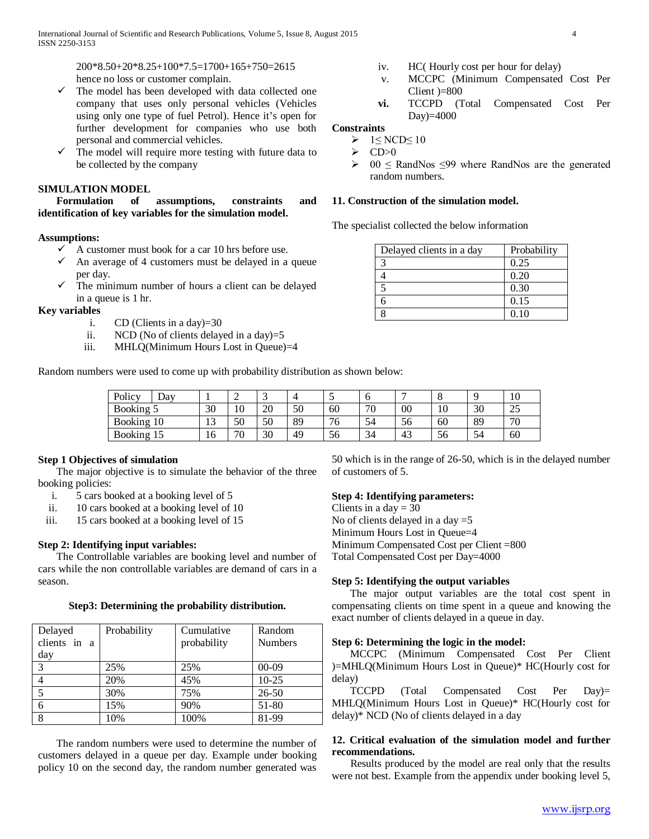200\*8.50+20\*8.25+100\*7.5=1700+165+750=2615 hence no loss or customer complain.

- $\checkmark$  The model has been developed with data collected one company that uses only personal vehicles (Vehicles using only one type of fuel Petrol). Hence it's open for further development for companies who use both personal and commercial vehicles.
- $\checkmark$  The model will require more testing with future data to be collected by the company

## **SIMULATION MODEL**

 **Formulation of assumptions, constraints and identification of key variables for the simulation model.**

## **Assumptions:**

- $\checkmark$  A customer must book for a car 10 hrs before use.
- $\checkmark$  An average of 4 customers must be delayed in a queue per day.
- $\checkmark$  The minimum number of hours a client can be delayed in a queue is 1 hr.

**Key variables**

- i. CD (Clients in a day)=30
- ii. NCD (No of clients delayed in a day)=5
- iii. MHLQ(Minimum Hours Lost in Queue)=4

Random numbers were used to come up with probability distribution as shown below:

- v. MCCPC (Minimum Compensated Cost Per Client )=800
- **vi.** TCCPD (Total Compensated Cost Per Day)=4000

## **Constraints**

- $\triangleright$  1≤ NCD≤ 10
- $\geq CP>0$ <br> $\geq Q<sub>0</sub>$
- $00 \leq$  RandNos  $\leq$ 99 where RandNos are the generated random numbers.

#### **11. Construction of the simulation model.**

The specialist collected the below information

| Delayed clients in a day | Probability |
|--------------------------|-------------|
| 3                        | 0.25        |
|                          | 0.20        |
| 5                        | 0.30        |
| б                        | 0.15        |
| 8                        | 0.10        |

| Policy         | $\Delta$ d $\rm v$ |              | ∸  |          | 4  | ັ           |                        |              | $\circ$         |    | 10         |
|----------------|--------------------|--------------|----|----------|----|-------------|------------------------|--------------|-----------------|----|------------|
| Booking 5      |                    | 30           | 10 | nη<br>ZU | 50 | 60          | 70                     | $_{00}$      | $\Omega$<br>1 V | 30 | つぐ<br>ں کے |
| <b>Booking</b> | 10                 | $\sim$<br>13 | 50 | 50       | 89 | $\sim$<br>O | $\sim$ $\lambda$<br>54 | $\sim$<br>эb | 60              | 89 | 70         |
| <b>Booking</b> |                    | 16           | 70 | 30       | 49 | 56          | 34                     | 43           | $\sim$<br>ჂႩ    | 54 | 60         |

## **Step 1 Objectives of simulation**

 The major objective is to simulate the behavior of the three booking policies:

- i. 5 cars booked at a booking level of 5
- ii. 10 cars booked at a booking level of 10
- iii. 15 cars booked at a booking level of 15

#### **Step 2: Identifying input variables:**

 The Controllable variables are booking level and number of cars while the non controllable variables are demand of cars in a season.

#### **Step3: Determining the probability distribution.**

| Delayed<br>clients in a<br>day | Probability | Cumulative<br>probability | Random<br><b>Numbers</b> |
|--------------------------------|-------------|---------------------------|--------------------------|
| 3                              | 25%         | 25%                       | $00-09$                  |
|                                | 20%         | 45%                       | $10-25$                  |
|                                | 30%         | 75%                       | $26 - 50$                |
| 6                              | 15%         | 90%                       | 51-80                    |
| 8                              | 10%         | 100%                      | 81-99                    |

 The random numbers were used to determine the number of customers delayed in a queue per day. Example under booking policy 10 on the second day, the random number generated was

50 which is in the range of 26-50, which is in the delayed number of customers of 5.

## **Step 4: Identifying parameters:**

Clients in a day  $= 30$ No of clients delayed in a day  $=$  5 Minimum Hours Lost in Queue=4 Minimum Compensated Cost per Client =800 Total Compensated Cost per Day=4000

## **Step 5: Identifying the output variables**

 The major output variables are the total cost spent in compensating clients on time spent in a queue and knowing the exact number of clients delayed in a queue in day.

#### **Step 6: Determining the logic in the model:**

 MCCPC (Minimum Compensated Cost Per Client )=MHLQ(Minimum Hours Lost in Queue)\* HC(Hourly cost for delay)

 TCCPD (Total Compensated Cost Per Day)= MHLQ(Minimum Hours Lost in Queue)\* HC(Hourly cost for delay)\* NCD (No of clients delayed in a day

## **12. Critical evaluation of the simulation model and further recommendations.**

 Results produced by the model are real only that the results were not best. Example from the appendix under booking level 5,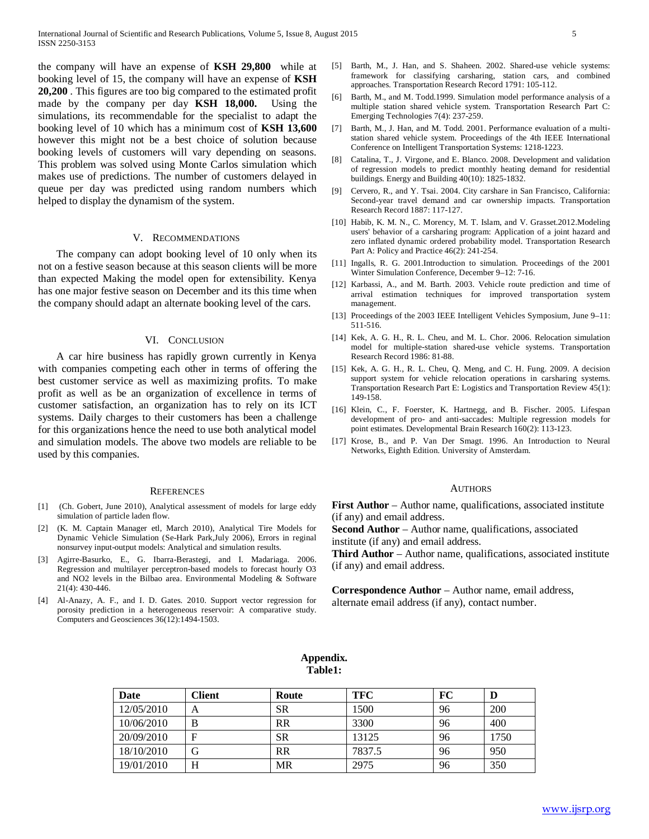the company will have an expense of **KSH 29,800** while at booking level of 15, the company will have an expense of **KSH 20,200** . This figures are too big compared to the estimated profit made by the company per day **KSH 18,000.** Using the simulations, its recommendable for the specialist to adapt the booking level of 10 which has a minimum cost of **KSH 13,600**  however this might not be a best choice of solution because booking levels of customers will vary depending on seasons. This problem was solved using Monte Carlos simulation which makes use of predictions. The number of customers delayed in queue per day was predicted using random numbers which helped to display the dynamism of the system.

#### V. RECOMMENDATIONS

 The company can adopt booking level of 10 only when its not on a festive season because at this season clients will be more than expected Making the model open for extensibility. Kenya has one major festive season on December and its this time when the company should adapt an alternate booking level of the cars.

#### VI. CONCLUSION

 A car hire business has rapidly grown currently in Kenya with companies competing each other in terms of offering the best customer service as well as maximizing profits. To make profit as well as be an organization of excellence in terms of customer satisfaction, an organization has to rely on its ICT systems. Daily charges to their customers has been a challenge for this organizations hence the need to use both analytical model and simulation models. The above two models are reliable to be used by this companies.

#### **REFERENCES**

- [1] (Ch. Gobert, June 2010), Analytical assessment of models for large eddy simulation of particle laden flow.
- [2] (K. M. Captain Manager etl, March 2010), Analytical Tire Models for Dynamic Vehicle Simulation (Se-Hark Park,July 2006), Errors in reginal nonsurvey input-output models: Analytical and simulation results.
- [3] Agirre-Basurko, E., G. Ibarra-Berastegi, and I. Madariaga. 2006. Regression and multilayer perceptron-based models to forecast hourly O3 and NO2 levels in the Bilbao area. Environmental Modeling & Software 21(4): 430-446.
- [4] Al-Anazy, A. F., and I. D. Gates. 2010. Support vector regression for porosity prediction in a heterogeneous reservoir: A comparative study. Computers and Geosciences 36(12):1494-1503.
- [5] Barth, M., J. Han, and S. Shaheen. 2002. Shared-use vehicle systems: framework for classifying carsharing, station cars, and combined approaches. Transportation Research Record 1791: 105-112.
- [6] Barth, M., and M. Todd.1999. Simulation model performance analysis of a multiple station shared vehicle system. Transportation Research Part C: Emerging Technologies 7(4): 237-259.
- [7] Barth, M., J. Han, and M. Todd. 2001. Performance evaluation of a multistation shared vehicle system. Proceedings of the 4th IEEE International Conference on Intelligent Transportation Systems: 1218-1223.
- [8] Catalina, T., J. Virgone, and E. Blanco. 2008. Development and validation of regression models to predict monthly heating demand for residential buildings. Energy and Building 40(10): 1825-1832.
- [9] Cervero, R., and Y. Tsai. 2004. City carshare in San Francisco, California: Second-year travel demand and car ownership impacts. Transportation Research Record 1887: 117-127.
- [10] Habib, K. M. N., C. Morency, M. T. Islam, and V. Grasset.2012.Modeling users' behavior of a carsharing program: Application of a joint hazard and zero inflated dynamic ordered probability model. Transportation Research Part A: Policy and Practice 46(2): 241-254.
- [11] Ingalls, R. G. 2001.Introduction to simulation. Proceedings of the 2001 Winter Simulation Conference, December 9–12: 7-16.
- [12] Karbassi, A., and M. Barth. 2003. Vehicle route prediction and time of arrival estimation techniques for improved transportation system management.
- [13] Proceedings of the 2003 IEEE Intelligent Vehicles Symposium, June 9–11: 511-516.
- [14] Kek, A. G. H., R. L. Cheu, and M. L. Chor. 2006. Relocation simulation model for multiple-station shared-use vehicle systems. Transportation Research Record 1986: 81-88.
- [15] Kek, A. G. H., R. L. Cheu, Q. Meng, and C. H. Fung. 2009. A decision support system for vehicle relocation operations in carsharing systems. Transportation Research Part E: Logistics and Transportation Review 45(1): 149-158.
- [16] Klein, C., F. Foerster, K. Hartnegg, and B. Fischer. 2005. Lifespan development of pro- and anti-saccades: Multiple regression models for point estimates. Developmental Brain Research 160(2): 113-123.
- [17] Krose, B., and P. Van Der Smagt. 1996. An Introduction to Neural Networks, Eighth Edition. University of Amsterdam.

#### AUTHORS

**First Author** – Author name, qualifications, associated institute (if any) and email address.

**Second Author** – Author name, qualifications, associated institute (if any) and email address.

**Third Author** – Author name, qualifications, associated institute (if any) and email address.

**Correspondence Author** – Author name, email address, alternate email address (if any), contact number.

## **Appendix. Table1:**

| Date       | Client     | Route     | <b>TFC</b> | FC | D    |
|------------|------------|-----------|------------|----|------|
| 12/05/2010 | A          | SR        | 1500       | 96 | 200  |
| 10/06/2010 | B          | <b>RR</b> | 3300       | 96 | 400  |
| 20/09/2010 | $_{\rm F}$ | SR        | 13125      | 96 | 1750 |
| 18/10/2010 | G          | RR        | 7837.5     | 96 | 950  |
| 19/01/2010 | H          | MR        | 2975       | 96 | 350  |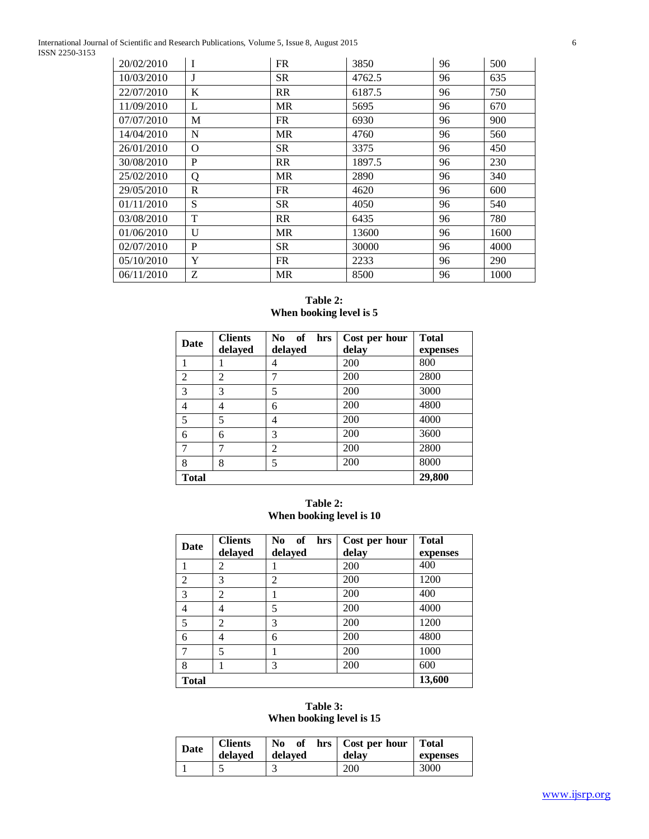International Journal of Scientific and Research Publications, Volume 5, Issue 8, August 2015 6 ISSN 2250-3153

| 20/02/2010 | I | <b>FR</b> | 3850   | 96 | 500  |
|------------|---|-----------|--------|----|------|
| 10/03/2010 | J | <b>SR</b> | 4762.5 | 96 | 635  |
| 22/07/2010 | K | <b>RR</b> | 6187.5 | 96 | 750  |
| 11/09/2010 | L | <b>MR</b> | 5695   | 96 | 670  |
| 07/07/2010 | M | FR        | 6930   | 96 | 900  |
| 14/04/2010 | N | <b>MR</b> | 4760   | 96 | 560  |
| 26/01/2010 | 0 | <b>SR</b> | 3375   | 96 | 450  |
| 30/08/2010 | P | <b>RR</b> | 1897.5 | 96 | 230  |
| 25/02/2010 | Q | <b>MR</b> | 2890   | 96 | 340  |
| 29/05/2010 | R | FR        | 4620   | 96 | 600  |
| 01/11/2010 | S | <b>SR</b> | 4050   | 96 | 540  |
| 03/08/2010 | T | <b>RR</b> | 6435   | 96 | 780  |
| 01/06/2010 | U | <b>MR</b> | 13600  | 96 | 1600 |
| 02/07/2010 | P | <b>SR</b> | 30000  | 96 | 4000 |
| 05/10/2010 | Y | <b>FR</b> | 2233   | 96 | 290  |
| 06/11/2010 | Z | <b>MR</b> | 8500   | 96 | 1000 |

# **Table 2: When booking level is 5**

| Date           | <b>Clients</b> | N <sub>0</sub><br>of<br>hrs | Cost per hour | <b>Total</b> |
|----------------|----------------|-----------------------------|---------------|--------------|
|                | delayed        | delayed                     | delay         | expenses     |
|                |                | 4                           | 200           | 800          |
| $\overline{2}$ | $\overline{c}$ | 7                           | 200           | 2800         |
| 3              | 3              | 5                           | 200           | 3000         |
| 4              | 4              | 6                           | 200           | 4800         |
| 5              | 5              | 4                           | 200           | 4000         |
| 6              | 6              | 3                           | 200           | 3600         |
| 7              | 7              | $\overline{2}$              | 200           | 2800         |
| 8              | 8              | 5                           | 200           | 8000         |
| <b>Total</b>   |                |                             |               | 29,800       |

# **Table 2: When booking level is 10**

| Date           | <b>Clients</b><br>delayed | of<br>N <sub>0</sub><br>hrs<br>delayed | Cost per hour<br>delay | <b>Total</b><br>expenses |
|----------------|---------------------------|----------------------------------------|------------------------|--------------------------|
|                | 2                         |                                        | 200                    | 400                      |
| $\overline{2}$ | 3                         | $\overline{c}$                         | 200                    | 1200                     |
| 3              | 2                         |                                        | 200                    | 400                      |
| $\overline{4}$ | 4                         | 5                                      | 200                    | 4000                     |
| 5              | 2                         | 3                                      | 200                    | 1200                     |
| 6              | 4                         | 6                                      | 200                    | 4800                     |
| 7              | 5                         |                                        | 200                    | 1000                     |
| 8              |                           | 3                                      | 200                    | 600                      |
| <b>Total</b>   |                           |                                        |                        | 13,600                   |

# **Table 3: When booking level is 15**

| <b>Date</b> | <b>Clients</b><br>delaved | No of<br>delaved | hrs   Cost per hour   Total<br>delay | expenses |
|-------------|---------------------------|------------------|--------------------------------------|----------|
|             |                           | سه               | 200                                  | 3000     |